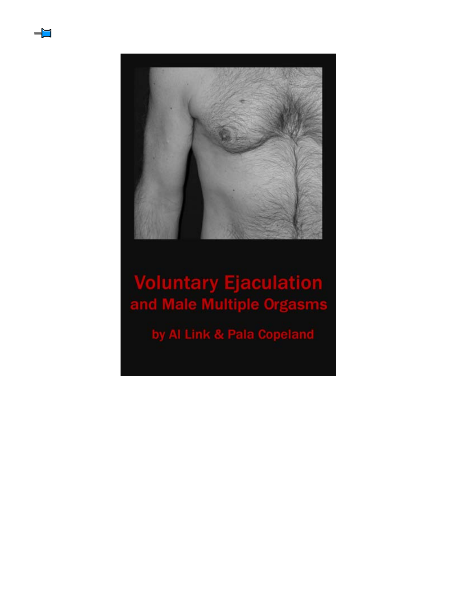

# **Voluntary Ejaculation**<br>and Male Multiple Orgasms

by Al Link & Pala Copeland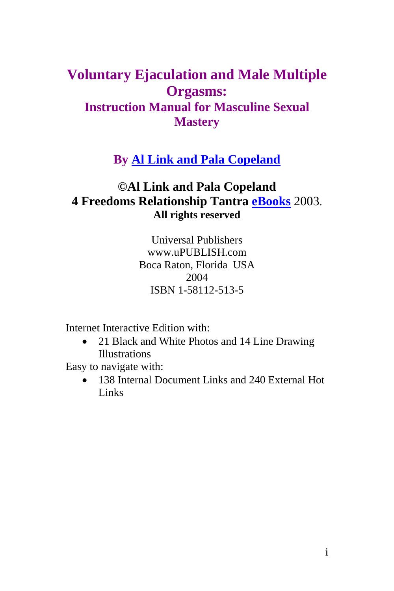# **Voluntary Ejaculation and Male Multiple Orgasms: Instruction Manual for Masculine Sexual Mastery**

**By [Al Link and Pala Copeland](http://www.tantra-sex.com/bio.html)** 

# **©Al Link and Pala Copeland 4 Freedoms Relationship Tantra eBooks** 2003. **All rights reserved**

Universal Publishers www.uPUBLISH.com Boca Raton, Florida USA 2004 ISBN 1-58112-513-5

Internet Interactive Edition with:

• 21 Black and White Photos and 14 Line Drawing Illustrations

Easy to navigate with:

• 138 Internal Document Links and 240 External Hot Links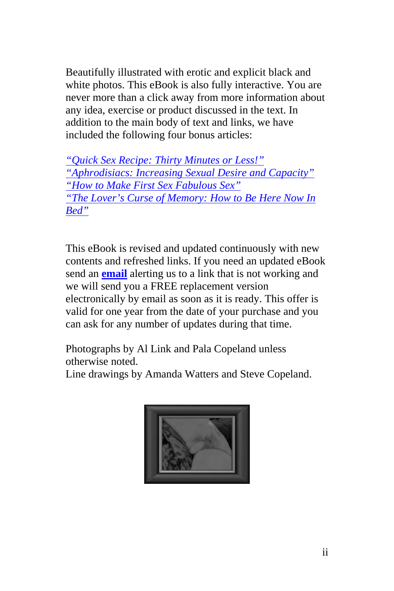Beautifully illustrated with erotic and explicit black and white photos. This eBook is also fully interactive. You are never more than a click away from more information about any idea, exercise or product discussed in the text. In addition to the main body of text and links, we have included the following four bonus articles:

*"Quick Sex Recipe: Thirty Minutes or Less!" "Aphrodisiacs: Increasing Sexual Desire and Capacity" "How to Make First Sex Fabulous Sex" "The Lover's Curse of Memory: How to Be Here Now In Bed"*

This eBook is revised and updated continuously with new contents and refreshed links. If you need an updated eBook send an **[email](mailto:4freedoms@tantraloving.com?subject=Bad_Link_in_Ejaculation_eBook)** alerting us to a link that is not working and we will send you a FREE replacement version electronically by email as soon as it is ready. This offer is valid for one year from the date of your purchase and you can ask for any number of updates during that time.

Photographs by Al Link and Pala Copeland unless otherwise noted.

Line drawings by Amanda Watters and Steve Copeland.

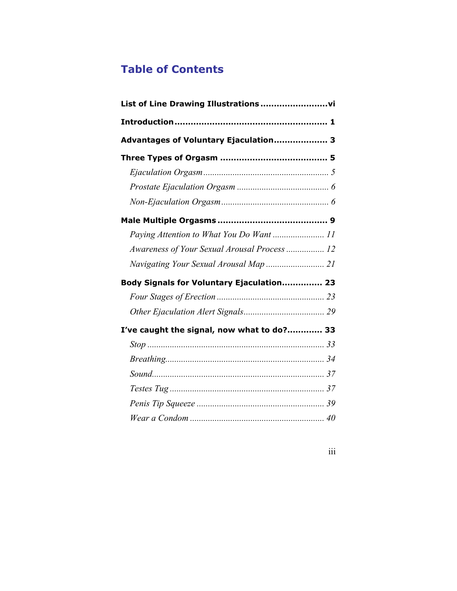# **Table of Contents**

| List of Line Drawing Illustrationsvi         |  |
|----------------------------------------------|--|
|                                              |  |
| Advantages of Voluntary Ejaculation 3        |  |
|                                              |  |
|                                              |  |
|                                              |  |
|                                              |  |
|                                              |  |
| Paying Attention to What You Do Want  11     |  |
| Awareness of Your Sexual Arousal Process  12 |  |
|                                              |  |
| Body Signals for Voluntary Ejaculation 23    |  |
|                                              |  |
|                                              |  |
| I've caught the signal, now what to do? 33   |  |
|                                              |  |
|                                              |  |
|                                              |  |
|                                              |  |
|                                              |  |
|                                              |  |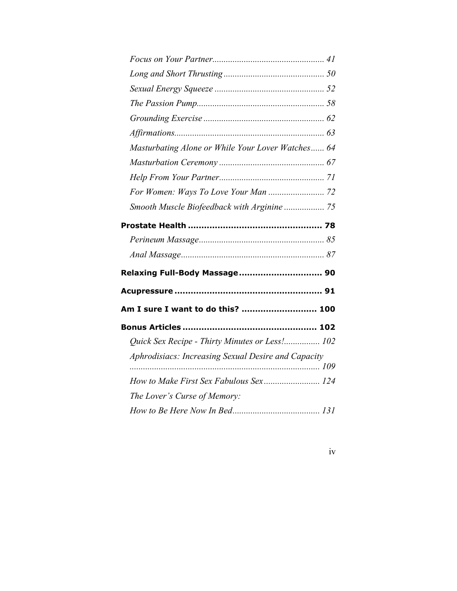| Masturbating Alone or While Your Lover Watches 64   |  |
|-----------------------------------------------------|--|
|                                                     |  |
|                                                     |  |
|                                                     |  |
|                                                     |  |
|                                                     |  |
|                                                     |  |
|                                                     |  |
| Relaxing Full-Body Massage 90                       |  |
|                                                     |  |
| Am I sure I want to do this?  100                   |  |
|                                                     |  |
| Quick Sex Recipe - Thirty Minutes or Less! 102      |  |
| Aphrodisiacs: Increasing Sexual Desire and Capacity |  |
| How to Make First Sex Fabulous Sex 124              |  |
| The Lover's Curse of Memory:                        |  |
|                                                     |  |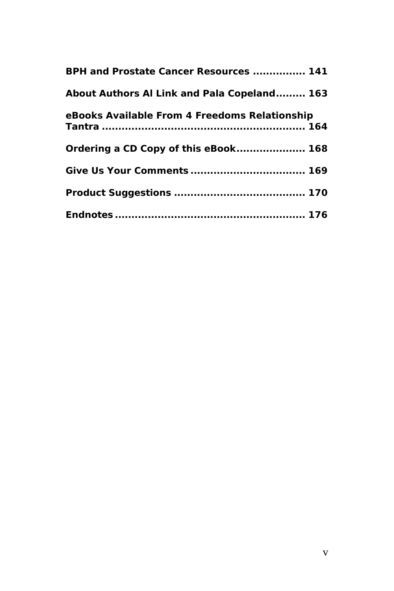| BPH and Prostate Cancer Resources  141        |
|-----------------------------------------------|
| About Authors Al Link and Pala Copeland 163   |
| eBooks Available From 4 Freedoms Relationship |
| Ordering a CD Copy of this eBook 168          |
|                                               |
|                                               |
|                                               |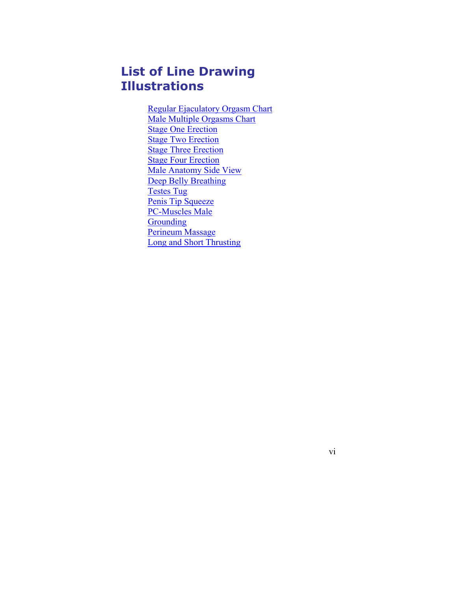# <span id="page-6-0"></span>**List of Line Drawing Illustrations**

[Regular Ejaculatory Orgasm Chart](#page-15-1) [Male Multiple Orgasms Chart](#page-17-1) Stage One Erection Stage Two Erection **Stage Three Erection** Stage Four Erection Male Anatomy Side View Deep Belly Breathing Testes Tug Penis Tip Squeeze PC-Muscles Male **Grounding** Perineum Massage Long and Short Thrusting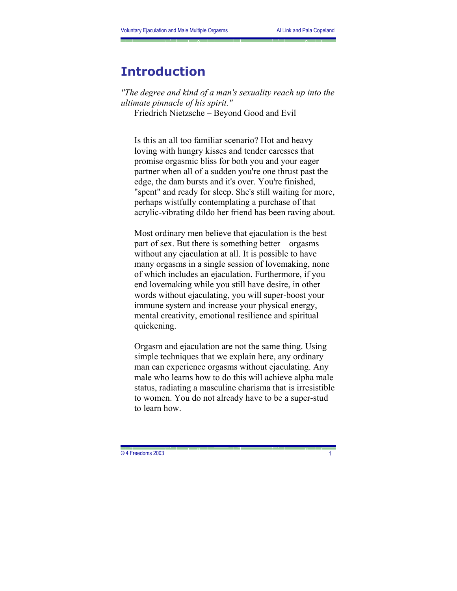# <span id="page-7-0"></span>**Introduction**

*"The degree and kind of a man's sexuality reach up into the ultimate pinnacle of his spirit."*  Friedrich Nietzsche – Beyond Good and Evil

Is this an all too familiar scenario? Hot and heavy loving with hungry kisses and tender caresses that promise orgasmic bliss for both you and your eager partner when all of a sudden you're one thrust past the edge, the dam bursts and it's over. You're finished, "spent" and ready for sleep. She's still waiting for more, perhaps wistfully contemplating a purchase of that acrylic-vibrating dildo her friend has been raving about.

Most ordinary men believe that ejaculation is the best part of sex. But there is something better—orgasms without any ejaculation at all. It is possible to have many orgasms in a single session of lovemaking, none of which includes an ejaculation. Furthermore, if you end lovemaking while you still have desire, in other words without ejaculating, you will super-boost your immune system and increase your physical energy, mental creativity, emotional resilience and spiritual quickening.

Orgasm and ejaculation are not the same thing. Using simple techniques that we explain here, any ordinary man can experience orgasms without ejaculating. Any male who learns how to do this will achieve alpha male status, radiating a masculine charisma that is irresistible to women. You do not already have to be a super-stud to learn how.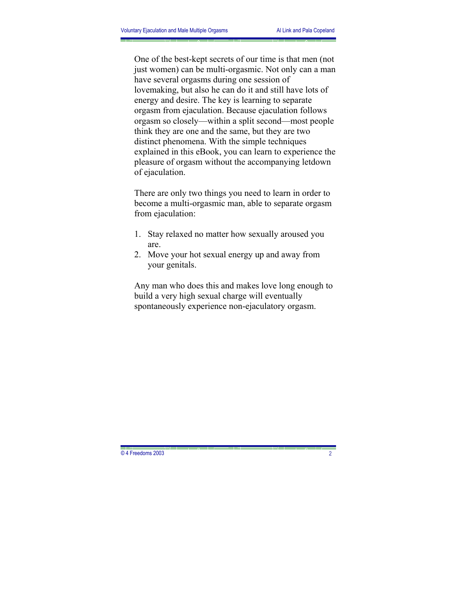One of the best-kept secrets of our time is that men (not just women) can be multi-orgasmic. Not only can a man have several orgasms during one session of lovemaking, but also he can do it and still have lots of energy and desire. The key is learning to separate orgasm from ejaculation. Because ejaculation follows orgasm so closely—within a split second—most people think they are one and the same, but they are two distinct phenomena. With the simple techniques explained in this eBook, you can learn to experience the pleasure of orgasm without the accompanying letdown of ejaculation.

There are only two things you need to learn in order to become a multi-orgasmic man, able to separate orgasm from ejaculation:

- 1. Stay relaxed no matter how sexually aroused you are.
- 2. Move your hot sexual energy up and away from your genitals.

Any man who does this and makes love long enough to build a very high sexual charge will eventually spontaneously experience non-ejaculatory orgasm.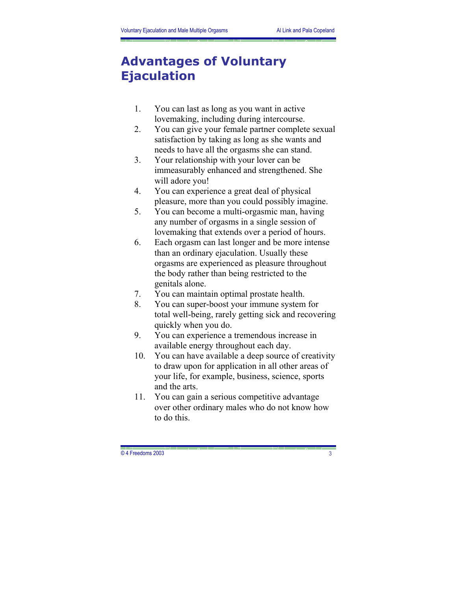# <span id="page-9-0"></span>**Advantages of Voluntary Ejaculation**

- 1. You can last as long as you want in active lovemaking, including during intercourse.
- 2. You can give your female partner complete sexual satisfaction by taking as long as she wants and needs to have all the orgasms she can stand.
- 3. Your relationship with your lover can be immeasurably enhanced and strengthened. She will adore you!
- 4. You can experience a great deal of physical pleasure, more than you could possibly imagine.
- 5. You can become a multi-orgasmic man, having any number of orgasms in a single session of lovemaking that extends over a period of hours.
- 6. Each orgasm can last longer and be more intense than an ordinary ejaculation. Usually these orgasms are experienced as pleasure throughout the body rather than being restricted to the genitals alone.
- 7. You can maintain optimal prostate health.
- 8. You can super-boost your immune system for total well-being, rarely getting sick and recovering quickly when you do.
- 9. You can experience a tremendous increase in available energy throughout each day.
- 10. You can have available a deep source of creativity to draw upon for application in all other areas of your life, for example, business, science, sports and the arts.
- 11. You can gain a serious competitive advantage over other ordinary males who do not know how to do this.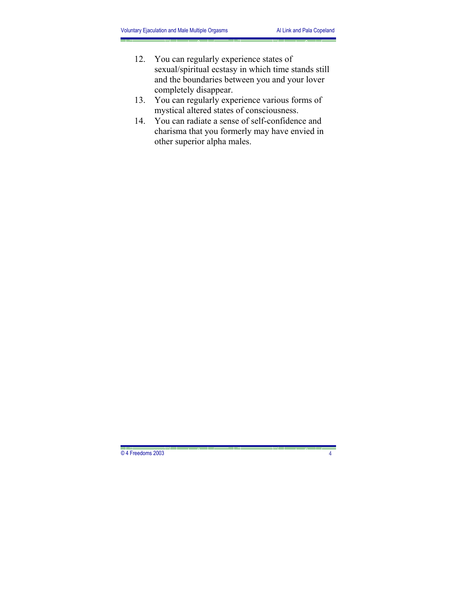- 12. You can regularly experience states of sexual/spiritual ecstasy in which time stands still and the boundaries between you and your lover completely disappear.
- 13. You can regularly experience various forms of mystical altered states of consciousness.
- 14. You can radiate a sense of self-confidence and charisma that you formerly may have envied in other superior alpha males.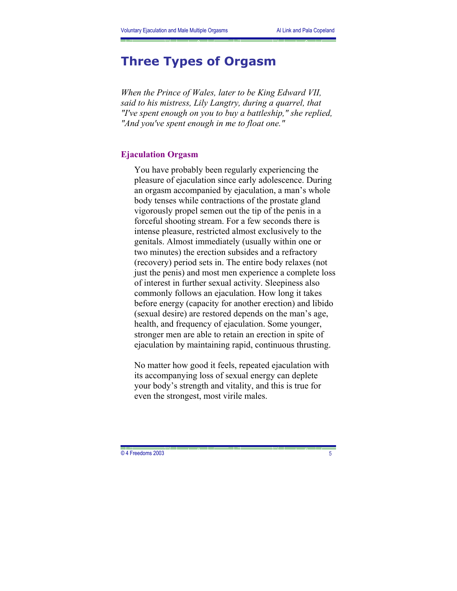# <span id="page-11-0"></span>**Three Types of Orgasm**

*When the Prince of Wales, later to be King Edward VII, said to his mistress, Lily Langtry, during a quarrel, that "I've spent enough on you to buy a battleship," she replied, "And you've spent enough in me to float one."* 

## <span id="page-11-1"></span>**Ejaculation Orgasm**

You have probably been regularly experiencing the pleasure of ejaculation since early adolescence. During an orgasm accompanied by ejaculation, a man's whole body tenses while contractions of the prostate gland vigorously propel semen out the tip of the penis in a forceful shooting stream. For a few seconds there is intense pleasure, restricted almost exclusively to the genitals. Almost immediately (usually within one or two minutes) the erection subsides and a refractory (recovery) period sets in. The entire body relaxes (not just the penis) and most men experience a complete loss of interest in further sexual activity. Sleepiness also commonly follows an ejaculation. How long it takes before energy (capacity for another erection) and libido (sexual desire) are restored depends on the man's age, health, and frequency of ejaculation. Some younger, stronger men are able to retain an erection in spite of ejaculation by maintaining rapid, continuous thrusting.

No matter how good it feels, repeated ejaculation with its accompanying loss of sexual energy can deplete your body's strength and vitality, and this is true for even the strongest, most virile males.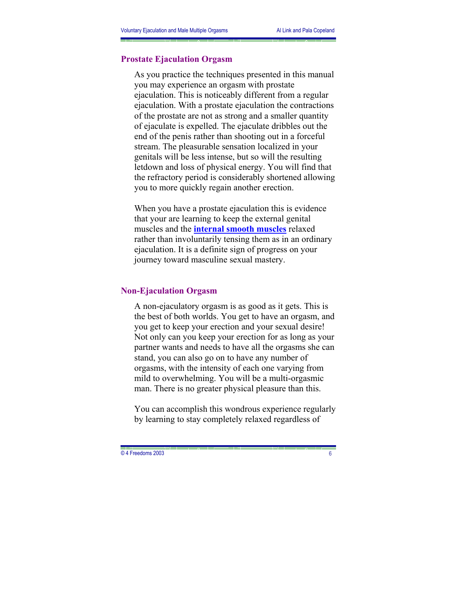### <span id="page-12-0"></span>**Prostate Ejaculation Orgasm**

As you practice the techniques presented in this manual you may experience an orgasm with prostate ejaculation. This is noticeably different from a regular ejaculation. With a prostate ejaculation the contractions of the prostate are not as strong and a smaller quantity of ejaculate is expelled. The ejaculate dribbles out the end of the penis rather than shooting out in a forceful stream. The pleasurable sensation localized in your genitals will be less intense, but so will the resulting letdown and loss of physical energy. You will find that the refractory period is considerably shortened allowing you to more quickly regain another erection.

<span id="page-12-1"></span>When you have a prostate ejaculation this is evidence that your are learning to keep the external genital muscles and the **internal smooth muscles** relaxed rather than involuntarily tensing them as in an ordinary ejaculation. It is a definite sign of progress on your journey toward masculine sexual mastery.

### **Non-Ejaculation Orgasm**

A non-ejaculatory orgasm is as good as it gets. This is the best of both worlds. You get to have an orgasm, and you get to keep your erection and your sexual desire! Not only can you keep your erection for as long as your partner wants and needs to have all the orgasms she can stand, you can also go on to have any number of orgasms, with the intensity of each one varying from mild to overwhelming. You will be a multi-orgasmic man. There is no greater physical pleasure than this.

You can accomplish this wondrous experience regularly by learning to stay completely relaxed regardless of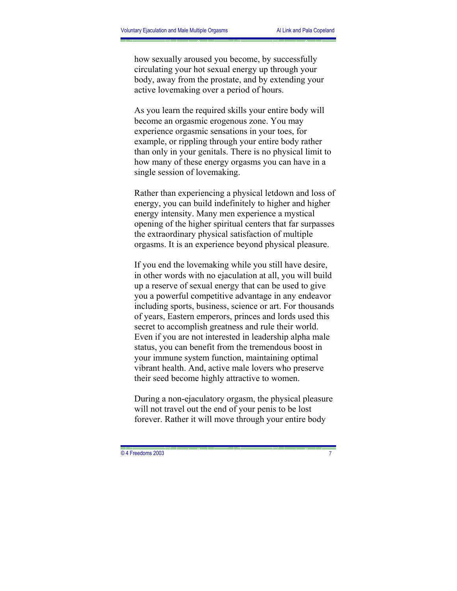how sexually aroused you become, by successfully circulating your hot sexual energy up through your body, away from the prostate, and by extending your active lovemaking over a period of hours.

As you learn the required skills your entire body will become an orgasmic erogenous zone. You may experience orgasmic sensations in your toes, for example, or rippling through your entire body rather than only in your genitals. There is no physical limit to how many of these energy orgasms you can have in a single session of lovemaking.

Rather than experiencing a physical letdown and loss of energy, you can build indefinitely to higher and higher energy intensity. Many men experience a mystical opening of the higher spiritual centers that far surpasses the extraordinary physical satisfaction of multiple orgasms. It is an experience beyond physical pleasure.

If you end the lovemaking while you still have desire, in other words with no ejaculation at all, you will build up a reserve of sexual energy that can be used to give you a powerful competitive advantage in any endeavor including sports, business, science or art. For thousands of years, Eastern emperors, princes and lords used this secret to accomplish greatness and rule their world. Even if you are not interested in leadership alpha male status, you can benefit from the tremendous boost in your immune system function, maintaining optimal vibrant health. And, active male lovers who preserve their seed become highly attractive to women.

During a non-ejaculatory orgasm, the physical pleasure will not travel out the end of your penis to be lost forever. Rather it will move through your entire body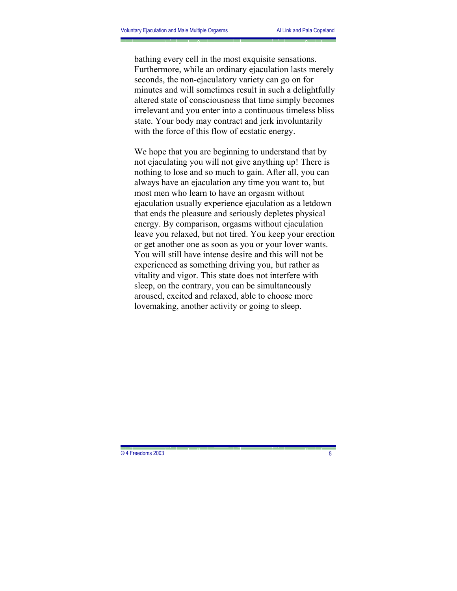bathing every cell in the most exquisite sensations. Furthermore, while an ordinary ejaculation lasts merely seconds, the non-ejaculatory variety can go on for minutes and will sometimes result in such a delightfully altered state of consciousness that time simply becomes irrelevant and you enter into a continuous timeless bliss state. Your body may contract and jerk involuntarily with the force of this flow of ecstatic energy.

We hope that you are beginning to understand that by not ejaculating you will not give anything up! There is nothing to lose and so much to gain. After all, you can always have an ejaculation any time you want to, but most men who learn to have an orgasm without ejaculation usually experience ejaculation as a letdown that ends the pleasure and seriously depletes physical energy. By comparison, orgasms without ejaculation leave you relaxed, but not tired. You keep your erection or get another one as soon as you or your lover wants. You will still have intense desire and this will not be experienced as something driving you, but rather as vitality and vigor. This state does not interfere with sleep, on the contrary, you can be simultaneously aroused, excited and relaxed, able to choose more lovemaking, another activity or going to sleep.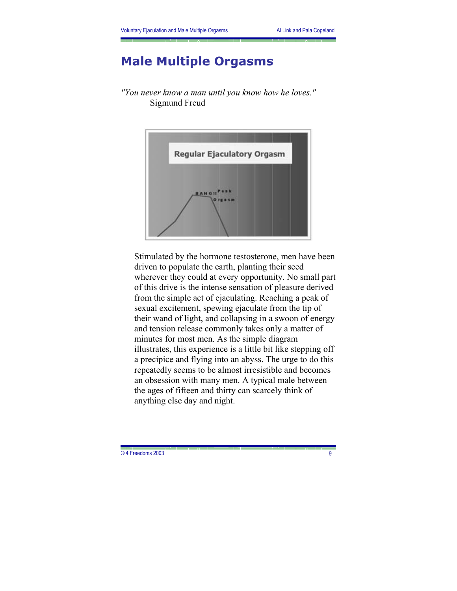# <span id="page-15-0"></span>**Male Multiple Orgasms**

# <span id="page-15-1"></span>*"You never know a man until you know how he loves."*  Sigmund Freud



Stimulated by the hormone testosterone, men have been driven to populate the earth, planting their seed wherever they could at every opportunity. No small part of this drive is the intense sensation of pleasure derived from the simple act of ejaculating. Reaching a peak of sexual excitement, spewing ejaculate from the tip of their wand of light, and collapsing in a swoon of energy and tension release commonly takes only a matter of minutes for most men. As the simple diagram illustrates, this experience is a little bit like stepping off a precipice and flying into an abyss. The urge to do this repeatedly seems to be almost irresistible and becomes an obsession with many men. A typical male between the ages of fifteen and thirty can scarcely think of anything else day and night.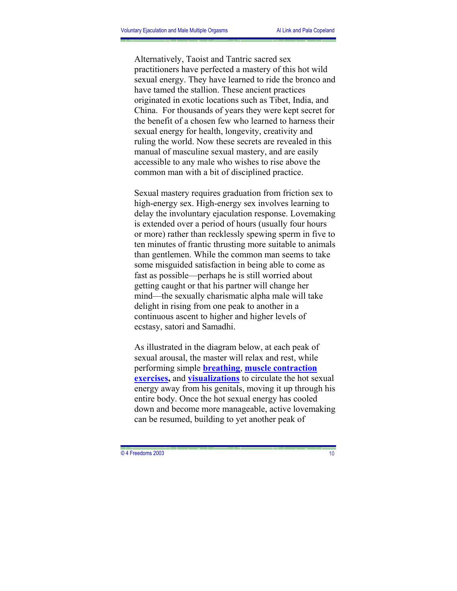Alternatively, Taoist and Tantric sacred sex practitioners have perfected a mastery of this hot wild sexual energy. They have learned to ride the bronco and have tamed the stallion. These ancient practices originated in exotic locations such as Tibet, India, and China. For thousands of years they were kept secret for the benefit of a chosen few who learned to harness their sexual energy for health, longevity, creativity and ruling the world. Now these secrets are revealed in this manual of masculine sexual mastery, and are easily accessible to any male who wishes to rise above the common man with a bit of disciplined practice.

Sexual mastery requires graduation from friction sex to high-energy sex. High-energy sex involves learning to delay the involuntary ejaculation response. Lovemaking is extended over a period of hours (usually four hours or more) rather than recklessly spewing sperm in five to ten minutes of frantic thrusting more suitable to animals than gentlemen. While the common man seems to take some misguided satisfaction in being able to come as fast as possible—perhaps he is still worried about getting caught or that his partner will change her mind—the sexually charismatic alpha male will take delight in rising from one peak to another in a continuous ascent to higher and higher levels of ecstasy, satori and Samadhi.

As illustrated in the diagram below, at each peak of sexual arousal, the master will relax and rest, while performing simple **breathing**, **muscle contraction exercises,** and **visualizations** to circulate the hot sexual energy away from his genitals, moving it up through his entire body. Once the hot sexual energy has cooled down and become more manageable, active lovemaking can be resumed, building to yet another peak of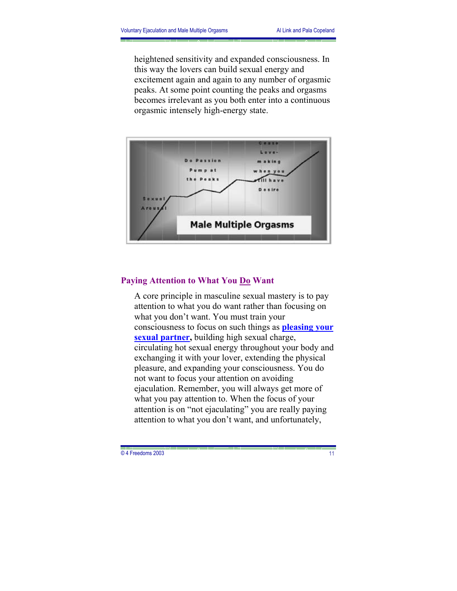heightened sensitivity and expanded consciousness. In this way the lovers can build sexual energy and excitement again and again to any number of orgasmic peaks. At some point counting the peaks and orgasms becomes irrelevant as you both enter into a continuous orgasmic intensely high-energy state.

<span id="page-17-1"></span><span id="page-17-0"></span>

## **Paying Attention to What You Do Want**

A core principle in masculine sexual mastery is to pay attention to what you do want rather than focusing on what you don't want. You must train your consciousness to focus on such things as **pleasing your sexual partner,** building high sexual charge, circulating hot sexual energy throughout your body and exchanging it with your lover, extending the physical pleasure, and expanding your consciousness. You do not want to focus your attention on avoiding ejaculation. Remember, you will always get more of what you pay attention to. When the focus of your attention is on "not ejaculating" you are really paying attention to what you don't want, and unfortunately,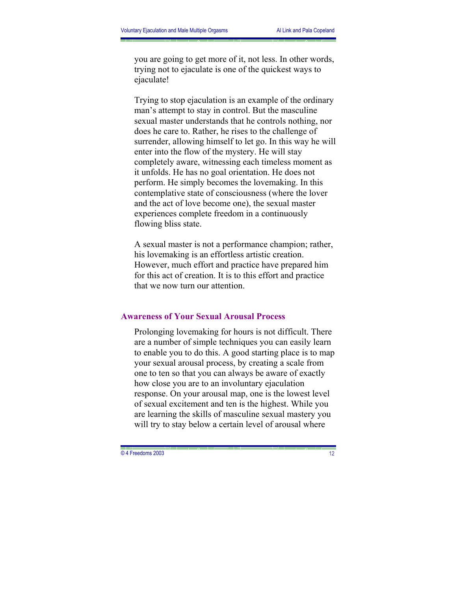you are going to get more of it, not less. In other words, trying not to ejaculate is one of the quickest ways to ejaculate!

Trying to stop ejaculation is an example of the ordinary man's attempt to stay in control. But the masculine sexual master understands that he controls nothing, nor does he care to. Rather, he rises to the challenge of surrender, allowing himself to let go. In this way he will enter into the flow of the mystery. He will stay completely aware, witnessing each timeless moment as it unfolds. He has no goal orientation. He does not perform. He simply becomes the lovemaking. In this contemplative state of consciousness (where the lover and the act of love become one), the sexual master experiences complete freedom in a continuously flowing bliss state.

<span id="page-18-0"></span>A sexual master is not a performance champion; rather, his lovemaking is an effortless artistic creation. However, much effort and practice have prepared him for this act of creation. It is to this effort and practice that we now turn our attention.

## **Awareness of Your Sexual Arousal Process**

Prolonging lovemaking for hours is not difficult. There are a number of simple techniques you can easily learn to enable you to do this. A good starting place is to map your sexual arousal process, by creating a scale from one to ten so that you can always be aware of exactly how close you are to an involuntary ejaculation response. On your arousal map, one is the lowest level of sexual excitement and ten is the highest. While you are learning the skills of masculine sexual mastery you will try to stay below a certain level of arousal where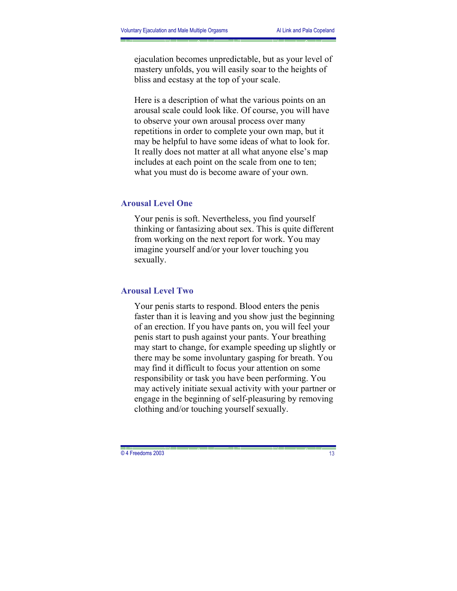ejaculation becomes unpredictable, but as your level of mastery unfolds, you will easily soar to the heights of bliss and ecstasy at the top of your scale.

Here is a description of what the various points on an arousal scale could look like. Of course, you will have to observe your own arousal process over many repetitions in order to complete your own map, but it may be helpful to have some ideas of what to look for. It really does not matter at all what anyone else's map includes at each point on the scale from one to ten; what you must do is become aware of your own.

## **Arousal Level One**

Your penis is soft. Nevertheless, you find yourself thinking or fantasizing about sex. This is quite different from working on the next report for work. You may imagine yourself and/or your lover touching you sexually.

## **Arousal Level Two**

Your penis starts to respond. Blood enters the penis faster than it is leaving and you show just the beginning of an erection. If you have pants on, you will feel your penis start to push against your pants. Your breathing may start to change, for example speeding up slightly or there may be some involuntary gasping for breath. You may find it difficult to focus your attention on some responsibility or task you have been performing. You may actively initiate sexual activity with your partner or engage in the beginning of self-pleasuring by removing clothing and/or touching yourself sexually.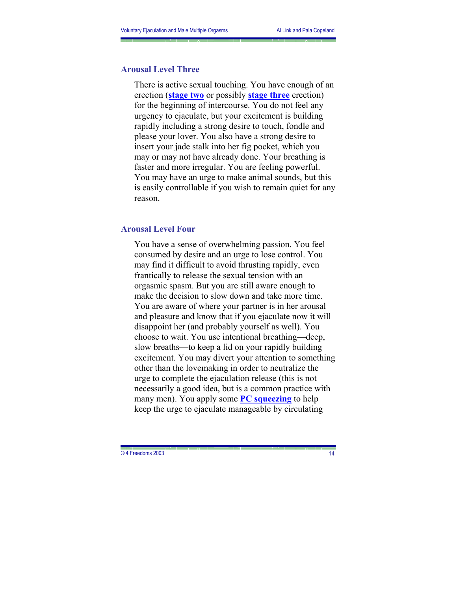#### **Arousal Level Three**

There is active sexual touching. You have enough of an erection (**stage two** or possibly **stage three** erection) for the beginning of intercourse. You do not feel any urgency to ejaculate, but your excitement is building rapidly including a strong desire to touch, fondle and please your lover. You also have a strong desire to insert your jade stalk into her fig pocket, which you may or may not have already done. Your breathing is faster and more irregular. You are feeling powerful. You may have an urge to make animal sounds, but this is easily controllable if you wish to remain quiet for any reason.

### **Arousal Level Four**

You have a sense of overwhelming passion. You feel consumed by desire and an urge to lose control. You may find it difficult to avoid thrusting rapidly, even frantically to release the sexual tension with an orgasmic spasm. But you are still aware enough to make the decision to slow down and take more time. You are aware of where your partner is in her arousal and pleasure and know that if you ejaculate now it will disappoint her (and probably yourself as well). You choose to wait. You use intentional breathing—deep, slow breaths—to keep a lid on your rapidly building excitement. You may divert your attention to something other than the lovemaking in order to neutralize the urge to complete the ejaculation release (this is not necessarily a good idea, but is a common practice with many men). You apply some **PC squeezing** to help keep the urge to ejaculate manageable by circulating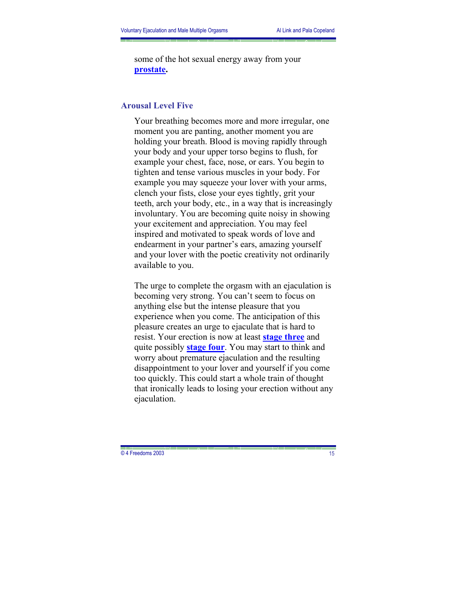some of the hot sexual energy away from your **prostate.** 

## **Arousal Level Five**

Your breathing becomes more and more irregular, one moment you are panting, another moment you are holding your breath. Blood is moving rapidly through your body and your upper torso begins to flush, for example your chest, face, nose, or ears. You begin to tighten and tense various muscles in your body. For example you may squeeze your lover with your arms, clench your fists, close your eyes tightly, grit your teeth, arch your body, etc., in a way that is increasingly involuntary. You are becoming quite noisy in showing your excitement and appreciation. You may feel inspired and motivated to speak words of love and endearment in your partner's ears, amazing yourself and your lover with the poetic creativity not ordinarily available to you.

The urge to complete the orgasm with an ejaculation is becoming very strong. You can't seem to focus on anything else but the intense pleasure that you experience when you come. The anticipation of this pleasure creates an urge to ejaculate that is hard to resist. Your erection is now at least **stage three** and quite possibly **stage four**. You may start to think and worry about premature ejaculation and the resulting disappointment to your lover and yourself if you come too quickly. This could start a whole train of thought that ironically leads to losing your erection without any ejaculation.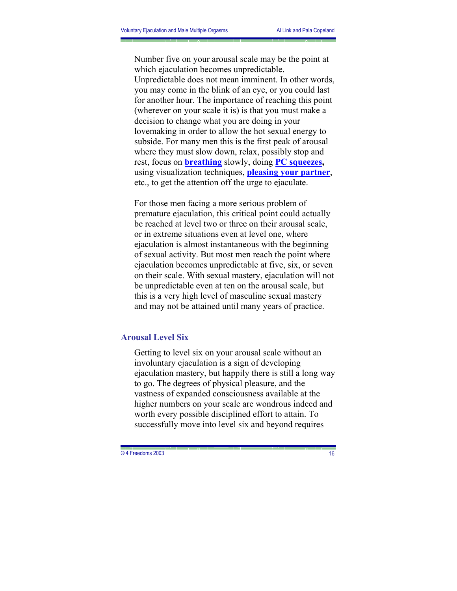Number five on your arousal scale may be the point at which ejaculation becomes unpredictable. Unpredictable does not mean imminent. In other words, you may come in the blink of an eye, or you could last for another hour. The importance of reaching this point (wherever on your scale it is) is that you must make a decision to change what you are doing in your lovemaking in order to allow the hot sexual energy to subside. For many men this is the first peak of arousal where they must slow down, relax, possibly stop and rest, focus on **breathing** slowly, doing **PC squeezes,** using visualization techniques, **pleasing your partner**,

etc., to get the attention off the urge to ejaculate.

For those men facing a more serious problem of premature ejaculation, this critical point could actually be reached at level two or three on their arousal scale, or in extreme situations even at level one, where ejaculation is almost instantaneous with the beginning of sexual activity. But most men reach the point where ejaculation becomes unpredictable at five, six, or seven on their scale. With sexual mastery, ejaculation will not be unpredictable even at ten on the arousal scale, but this is a very high level of masculine sexual mastery and may not be attained until many years of practice.

# **Arousal Level Six**

Getting to level six on your arousal scale without an involuntary ejaculation is a sign of developing ejaculation mastery, but happily there is still a long way to go. The degrees of physical pleasure, and the vastness of expanded consciousness available at the higher numbers on your scale are wondrous indeed and worth every possible disciplined effort to attain. To successfully move into level six and beyond requires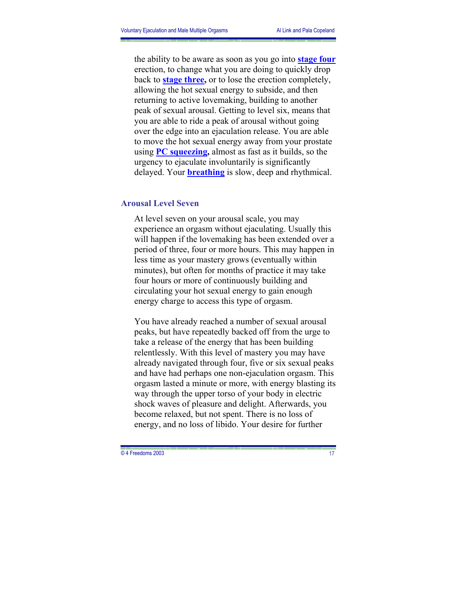the ability to be aware as soon as you go into **stage four** erection, to change what you are doing to quickly drop back to **stage three,** or to lose the erection completely, allowing the hot sexual energy to subside, and then returning to active lovemaking, building to another peak of sexual arousal. Getting to level six, means that you are able to ride a peak of arousal without going over the edge into an ejaculation release. You are able to move the hot sexual energy away from your prostate using **PC squeezing,** almost as fast as it builds, so the urgency to ejaculate involuntarily is significantly delayed. Your **breathing** is slow, deep and rhythmical.

### **Arousal Level Seven**

At level seven on your arousal scale, you may experience an orgasm without ejaculating. Usually this will happen if the lovemaking has been extended over a period of three, four or more hours. This may happen in less time as your mastery grows (eventually within minutes), but often for months of practice it may take four hours or more of continuously building and circulating your hot sexual energy to gain enough energy charge to access this type of orgasm.

You have already reached a number of sexual arousal peaks, but have repeatedly backed off from the urge to take a release of the energy that has been building relentlessly. With this level of mastery you may have already navigated through four, five or six sexual peaks and have had perhaps one non-ejaculation orgasm. This orgasm lasted a minute or more, with energy blasting its way through the upper torso of your body in electric shock waves of pleasure and delight. Afterwards, you become relaxed, but not spent. There is no loss of energy, and no loss of libido. Your desire for further